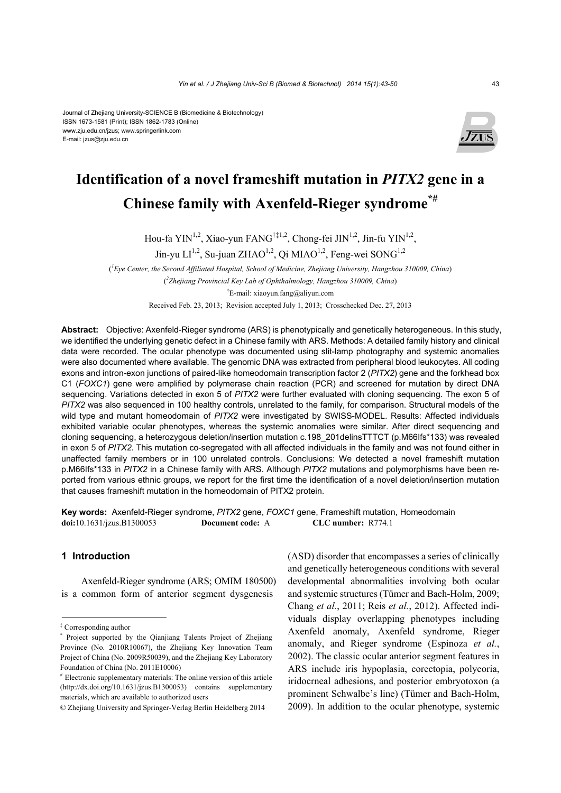#### Journal of Zhejiang University-SCIENCE B (Biomedicine & Biotechnology) ISSN 1673-1581 (Print); ISSN 1862-1783 (Online) www.zju.edu.cn/jzus; www.springerlink.com E-mail: jzus@zju.edu.cn



## **Identification of a novel frameshift mutation in** *PITX2* **gene in a Chinese family with Axenfeld-Rieger syndrome\*#**

Hou-fa YIN<sup>1,2</sup>, Xiao-yun FANG<sup>†‡1,2</sup>, Chong-fei JIN<sup>1,2</sup>, Jin-fu YIN<sup>1,2</sup>,

Jin-yu  $LI^{1,2}$ , Su-juan ZHAO<sup>1,2</sup>, Oi MIAO<sup>1,2</sup>, Feng-wei SONG<sup>1,2</sup>

( *1 Eye Center, the Second Affiliated Hospital, School of Medicine, Zhejiang University, Hangzhou 310009, China*) ( *2 Zhejiang Provincial Key Lab of Ophthalmology, Hangzhou 310009, China*) † E-mail: xiaoyun.fang@aliyun.com

Received Feb. 23, 2013; Revision accepted July 1, 2013; Crosschecked Dec. 27, 2013

**Abstract:** Objective: Axenfeld-Rieger syndrome (ARS) is phenotypically and genetically heterogeneous. In this study, we identified the underlying genetic defect in a Chinese family with ARS. Methods: A detailed family history and clinical data were recorded. The ocular phenotype was documented using slit-lamp photography and systemic anomalies were also documented where available. The genomic DNA was extracted from peripheral blood leukocytes. All coding exons and intron-exon junctions of paired-like homeodomain transcription factor 2 (*PITX2*) gene and the forkhead box C1 (*FOXC1*) gene were amplified by polymerase chain reaction (PCR) and screened for mutation by direct DNA sequencing. Variations detected in exon 5 of *PITX2* were further evaluated with cloning sequencing. The exon 5 of *PITX2* was also sequenced in 100 healthy controls, unrelated to the family, for comparison. Structural models of the wild type and mutant homeodomain of *PITX2* were investigated by SWISS-MODEL. Results: Affected individuals exhibited variable ocular phenotypes, whereas the systemic anomalies were similar. After direct sequencing and cloning sequencing, a heterozygous deletion/insertion mutation c.198\_201delinsTTTCT (p.M66Ifs\*133) was revealed in exon 5 of *PITX2*. This mutation co-segregated with all affected individuals in the family and was not found either in unaffected family members or in 100 unrelated controls. Conclusions: We detected a novel frameshift mutation p.M66Ifs\*133 in *PITX2* in a Chinese family with ARS. Although *PITX2* mutations and polymorphisms have been reported from various ethnic groups, we report for the first time the identification of a novel deletion/insertion mutation that causes frameshift mutation in the homeodomain of PITX2 protein.

**Key words:** Axenfeld-Rieger syndrome, *PITX2* gene, *FOXC1* gene, Frameshift mutation, Homeodomain **doi:**10.1631/jzus.B1300053 **Document code:** A **CLC number:** R774.1

## **1 Introduction**

Axenfeld-Rieger syndrome (ARS; OMIM 180500) is a common form of anterior segment dysgenesis

(ASD) disorder that encompasses a series of clinically and genetically heterogeneous conditions with several developmental abnormalities involving both ocular and systemic structures (Tümer and Bach-Holm, 2009; Chang *et al.*, 2011; Reis *et al.*, 2012). Affected individuals display overlapping phenotypes including Axenfeld anomaly, Axenfeld syndrome, Rieger anomaly, and Rieger syndrome (Espinoza *et al.*, 2002). The classic ocular anterior segment features in ARS include iris hypoplasia, corectopia, polycoria, iridocrneal adhesions, and posterior embryotoxon (a prominent Schwalbe's line) (Tümer and Bach-Holm, 2009). In addition to the ocular phenotype, systemic

<sup>‡</sup> Corresponding author

<sup>\*</sup> Project supported by the Qianjiang Talents Project of Zhejiang Province (No. 2010R10067), the Zhejiang Key Innovation Team Project of China (No. 2009R50039), and the Zhejiang Key Laboratory Foundation of China (No. 2011E10006)

<sup>#</sup> Electronic supplementary materials: The online version of this article (http://dx.doi.org/10.1631/jzus.B1300053) contains supplementary materials, which are available to authorized users

<sup>©</sup> Zhejiang University and Springer-Verlag Berlin Heidelberg 2014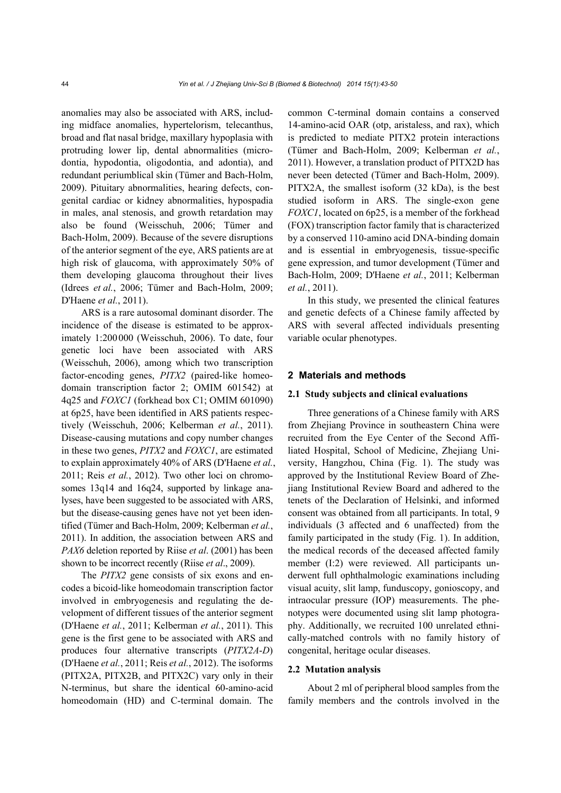anomalies may also be associated with ARS, including midface anomalies, hypertelorism, telecanthus, broad and flat nasal bridge, maxillary hypoplasia with protruding lower lip, dental abnormalities (microdontia, hypodontia, oligodontia, and adontia), and redundant periumblical skin (Tümer and Bach-Holm, 2009). Pituitary abnormalities, hearing defects, congenital cardiac or kidney abnormalities, hypospadia in males, anal stenosis, and growth retardation may also be found (Weisschuh, 2006; Tümer and Bach-Holm, 2009). Because of the severe disruptions of the anterior segment of the eye, ARS patients are at high risk of glaucoma, with approximately 50% of them developing glaucoma throughout their lives (Idrees *et al.*, 2006; Tümer and Bach-Holm, 2009; D'Haene *et al.*, 2011).

ARS is a rare autosomal dominant disorder. The incidence of the disease is estimated to be approximately 1:200000 (Weisschuh, 2006). To date, four genetic loci have been associated with ARS (Weisschuh, 2006), among which two transcription factor-encoding genes, *PITX2* (paired-like homeodomain transcription factor 2; OMIM 601542) at 4q25 and *FOXC1* (forkhead box C1; OMIM 601090) at 6p25, have been identified in ARS patients respectively (Weisschuh, 2006; Kelberman *et al.*, 2011). Disease-causing mutations and copy number changes in these two genes, *PITX2* and *FOXC1*, are estimated to explain approximately 40% of ARS (D'Haene *et al.*, 2011; Reis *et al.*, 2012). Two other loci on chromosomes 13q14 and 16q24, supported by linkage analyses, have been suggested to be associated with ARS, but the disease-causing genes have not yet been identified (Tümer and Bach-Holm, 2009; Kelberman *et al.*, 2011). In addition, the association between ARS and *PAX6* deletion reported by Riise *et al*. (2001) has been shown to be incorrect recently (Riise *et al*., 2009).

The *PITX2* gene consists of six exons and encodes a bicoid-like homeodomain transcription factor involved in embryogenesis and regulating the development of different tissues of the anterior segment (D'Haene *et al.*, 2011; Kelberman *et al.*, 2011). This gene is the first gene to be associated with ARS and produces four alternative transcripts (*PITX2A*-*D*) (D'Haene *et al.*, 2011; Reis *et al.*, 2012). The isoforms (PITX2A, PITX2B, and PITX2C) vary only in their N-terminus, but share the identical 60-amino-acid homeodomain (HD) and C-terminal domain. The common C-terminal domain contains a conserved 14-amino-acid OAR (otp, aristaless, and rax), which is predicted to mediate PITX2 protein interactions (Tümer and Bach-Holm, 2009; Kelberman *et al.*, 2011). However, a translation product of PITX2D has never been detected (Tümer and Bach-Holm, 2009). PITX2A, the smallest isoform (32 kDa), is the best studied isoform in ARS. The single-exon gene *FOXC1*, located on 6p25, is a member of the forkhead (FOX) transcription factor family that is characterized by a conserved 110-amino acid DNA-binding domain and is essential in embryogenesis, tissue-specific gene expression, and tumor development (Tümer and Bach-Holm, 2009; D'Haene *et al.*, 2011; Kelberman *et al.*, 2011).

In this study, we presented the clinical features and genetic defects of a Chinese family affected by ARS with several affected individuals presenting variable ocular phenotypes.

#### **2 Materials and methods**

#### **2.1 Study subjects and clinical evaluations**

Three generations of a Chinese family with ARS from Zhejiang Province in southeastern China were recruited from the Eye Center of the Second Affiliated Hospital, School of Medicine, Zhejiang University, Hangzhou, China (Fig. 1). The study was approved by the Institutional Review Board of Zhejiang Institutional Review Board and adhered to the tenets of the Declaration of Helsinki, and informed consent was obtained from all participants. In total, 9 individuals (3 affected and 6 unaffected) from the family participated in the study (Fig. 1). In addition, the medical records of the deceased affected family member (I:2) were reviewed. All participants underwent full ophthalmologic examinations including visual acuity, slit lamp, funduscopy, gonioscopy, and intraocular pressure (IOP) measurements. The phenotypes were documented using slit lamp photography. Additionally, we recruited 100 unrelated ethnically-matched controls with no family history of congenital, heritage ocular diseases.

## **2.2 Mutation analysis**

About 2 ml of peripheral blood samples from the family members and the controls involved in the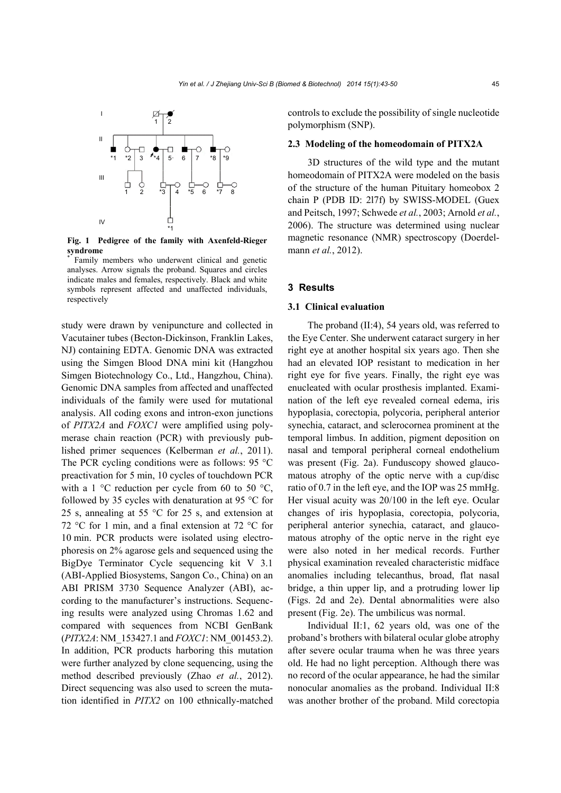

**Fig. 1 Pedigree of the family with Axenfeld-Rieger syndrome**  \*

 Family members who underwent clinical and genetic analyses. Arrow signals the proband. Squares and circles indicate males and females, respectively. Black and white symbols represent affected and unaffected individuals, respectively

study were drawn by venipuncture and collected in Vacutainer tubes (Becton-Dickinson, Franklin Lakes, NJ) containing EDTA. Genomic DNA was extracted using the Simgen Blood DNA mini kit (Hangzhou Simgen Biotechnology Co., Ltd., Hangzhou, China). Genomic DNA samples from affected and unaffected individuals of the family were used for mutational analysis. All coding exons and intron-exon junctions of *PITX2A* and *FOXC1* were amplified using polymerase chain reaction (PCR) with previously published primer sequences (Kelberman *et al.*, 2011). The PCR cycling conditions were as follows: 95 °C preactivation for 5 min, 10 cycles of touchdown PCR with a 1  $\degree$ C reduction per cycle from 60 to 50  $\degree$ C, followed by 35 cycles with denaturation at 95 °C for 25 s, annealing at 55 °C for 25 s, and extension at 72 °C for 1 min, and a final extension at 72 °C for 10 min. PCR products were isolated using electrophoresis on 2% agarose gels and sequenced using the BigDye Terminator Cycle sequencing kit V 3.1 (ABI-Applied Biosystems, Sangon Co., China) on an ABI PRISM 3730 Sequence Analyzer (ABI), according to the manufacturer's instructions. Sequencing results were analyzed using Chromas 1.62 and compared with sequences from NCBI GenBank (*PITX2A*: NM\_153427.1 and *FOXC1*: NM\_001453.2). In addition, PCR products harboring this mutation were further analyzed by clone sequencing, using the method described previously (Zhao *et al.*, 2012). Direct sequencing was also used to screen the mutation identified in *PITX2* on 100 ethnically-matched controls to exclude the possibility of single nucleotide polymorphism (SNP).

#### **2.3 Modeling of the homeodomain of PITX2A**

3D structures of the wild type and the mutant homeodomain of PITX2A were modeled on the basis of the structure of the human Pituitary homeobox 2 chain P (PDB ID: 2l7f) by SWISS-MODEL (Guex and Peitsch, 1997; Schwede *et al.*, 2003; Arnold *et al.*, 2006). The structure was determined using nuclear magnetic resonance (NMR) spectroscopy (Doerdelmann *et al.*, 2012).

#### **3 Results**

## **3.1 Clinical evaluation**

The proband (II:4), 54 years old, was referred to the Eye Center. She underwent cataract surgery in her right eye at another hospital six years ago. Then she had an elevated IOP resistant to medication in her right eye for five years. Finally, the right eye was enucleated with ocular prosthesis implanted. Examination of the left eye revealed corneal edema, iris hypoplasia, corectopia, polycoria, peripheral anterior synechia, cataract, and sclerocornea prominent at the temporal limbus. In addition, pigment deposition on nasal and temporal peripheral corneal endothelium was present (Fig. 2a). Funduscopy showed glaucomatous atrophy of the optic nerve with a cup/disc ratio of 0.7 in the left eye, and the IOP was 25 mmHg. Her visual acuity was 20/100 in the left eye. Ocular changes of iris hypoplasia, corectopia, polycoria, peripheral anterior synechia, cataract, and glaucomatous atrophy of the optic nerve in the right eye were also noted in her medical records. Further physical examination revealed characteristic midface anomalies including telecanthus, broad, flat nasal bridge, a thin upper lip, and a protruding lower lip (Figs. 2d and 2e). Dental abnormalities were also present (Fig. 2e). The umbilicus was normal.

Individual II:1, 62 years old, was one of the proband's brothers with bilateral ocular globe atrophy after severe ocular trauma when he was three years old. He had no light perception. Although there was no record of the ocular appearance, he had the similar nonocular anomalies as the proband. Individual II:8 was another brother of the proband. Mild corectopia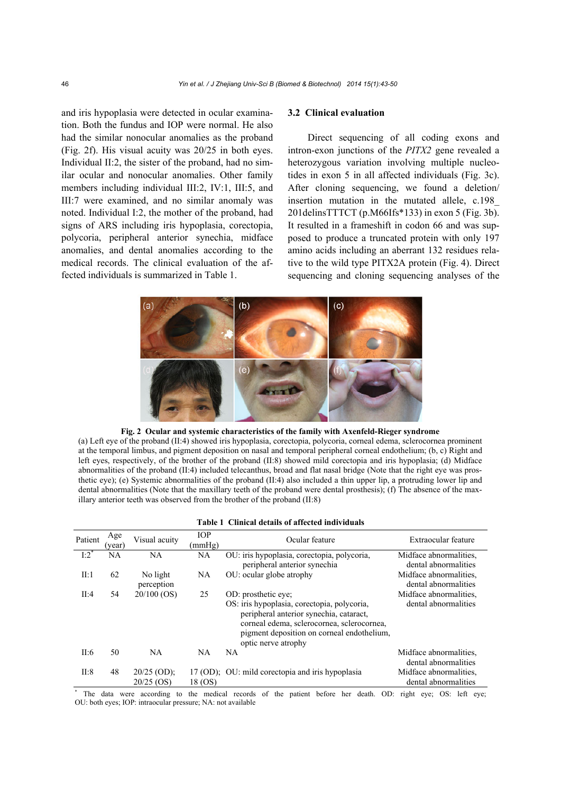and iris hypoplasia were detected in ocular examination. Both the fundus and IOP were normal. He also had the similar nonocular anomalies as the proband (Fig. 2f). His visual acuity was 20/25 in both eyes. Individual II:2, the sister of the proband, had no similar ocular and nonocular anomalies. Other family members including individual III:2, IV:1, III:5, and III:7 were examined, and no similar anomaly was noted. Individual I:2, the mother of the proband, had signs of ARS including iris hypoplasia, corectopia, polycoria, peripheral anterior synechia, midface anomalies, and dental anomalies according to the medical records. The clinical evaluation of the affected individuals is summarized in Table 1.

## **3.2 Clinical evaluation**

Direct sequencing of all coding exons and intron-exon junctions of the *PITX2* gene revealed a heterozygous variation involving multiple nucleotides in exon 5 in all affected individuals (Fig. 3c). After cloning sequencing, we found a deletion/ insertion mutation in the mutated allele, c.198\_ 201delinsTTTCT (p.M66Ifs\*133) in exon 5 (Fig. 3b). It resulted in a frameshift in codon 66 and was supposed to produce a truncated protein with only 197 amino acids including an aberrant 132 residues relative to the wild type PITX2A protein (Fig. 4). Direct sequencing and cloning sequencing analyses of the



**Fig. 2 Ocular and systemic characteristics of the family with Axenfeld-Rieger syndrome** 

(a) Left eye of the proband (II:4) showed iris hypoplasia, corectopia, polycoria, corneal edema, sclerocornea prominent at the temporal limbus, and pigment deposition on nasal and temporal peripheral corneal endothelium; (b, c) Right and left eyes, respectively, of the brother of the proband (II:8) showed mild corectopia and iris hypoplasia; (d) Midface abnormalities of the proband (II:4) included telecanthus, broad and flat nasal bridge (Note that the right eye was prosthetic eye); (e) Systemic abnormalities of the proband (II:4) also included a thin upper lip, a protruding lower lip and dental abnormalities (Note that the maxillary teeth of the proband were dental prosthesis); (f) The absence of the maxillary anterior teeth was observed from the brother of the proband (II:8)

#### **Table 1 Clinical details of affected individuals**

| Patient | Age<br>(year) | Visual acuity                 | <b>TOP</b><br>(mmHg) | Ocular feature                                                                                                                                                                                                                   | Extraocular feature                            |
|---------|---------------|-------------------------------|----------------------|----------------------------------------------------------------------------------------------------------------------------------------------------------------------------------------------------------------------------------|------------------------------------------------|
| 1:2"    | <b>NA</b>     | <b>NA</b>                     | NA.                  | OU: iris hypoplasia, corectopia, polycoria,<br>peripheral anterior synechia                                                                                                                                                      | Midface abnormalities.<br>dental abnormalities |
| II:1    | 62            | No light<br>perception        | NA                   | OU: ocular globe atrophy                                                                                                                                                                                                         | Midface abnormalities.<br>dental abnormalities |
| II:4    | 54            | $20/100$ (OS)                 | 25                   | OD: prosthetic eye;<br>OS: iris hypoplasia, corectopia, polycoria,<br>peripheral anterior synechia, cataract,<br>corneal edema, sclerocornea, sclerocornea,<br>pigment deposition on corneal endothelium,<br>optic nerve atrophy | Midface abnormalities.<br>dental abnormalities |
| II:6    | 50            | <b>NA</b>                     | NA                   | <b>NA</b>                                                                                                                                                                                                                        | Midface abnormalities.<br>dental abnormalities |
| II:8    | 48            | $20/25$ (OD);<br>$20/25$ (OS) | 18 (OS)              | 17 (OD); OU: mild corectopia and iris hypoplasia                                                                                                                                                                                 | Midface abnormalities.<br>dental abnormalities |

\* The data were according to the medical records of the patient before her death. OD: right eye; OS: left eye; OU: both eyes; IOP: intraocular pressure; NA: not available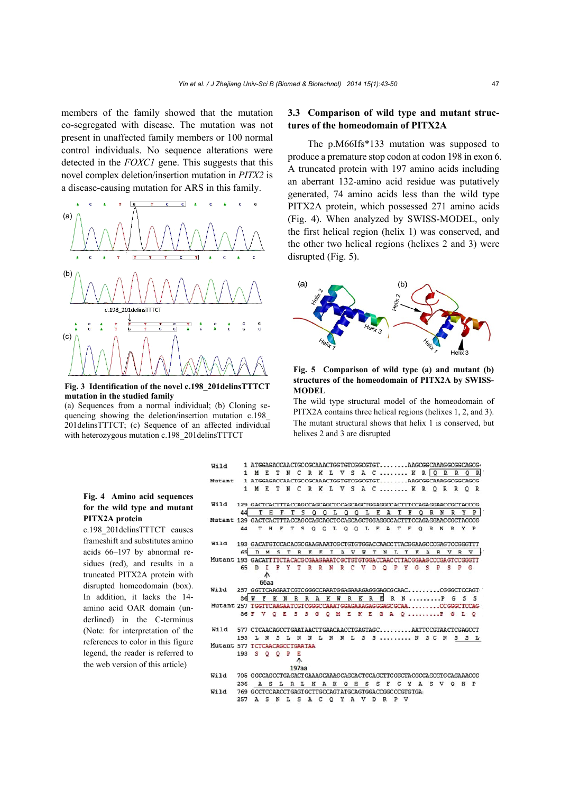members of the family showed that the mutation co-segregated with disease. The mutation was not present in unaffected family members or 100 normal control individuals. No sequence alterations were detected in the *FOXC1* gene. This suggests that this novel complex deletion/insertion mutation in *PITX2* is a disease-causing mutation for ARS in this family.



**Fig. 3 Identification of the novel c.198\_201delinsTTTCT mutation in the studied family** 

(a) Sequences from a normal individual; (b) Cloning sequencing showing the deletion/insertion mutation c.198\_ 201delinsTTTCT; (c) Sequence of an affected individual with heterozygous mutation c.198\_201delinsTTTCT

#### **Fig. 4 Amino acid sequences for the wild type and mutant PITX2A protein**

c.198\_201delinsTTTCT causes frameshift and substitutes amino acids 66–197 by abnormal residues (red), and results in a truncated PITX2A protein with disrupted homeodomain (box). In addition, it lacks the 14 amino acid OAR domain (underlined) in the C-terminus (Note: for interpretation of the references to color in this figure legend, the reader is referred to the web version of this article)

## **3.3 Comparison of wild type and mutant structures of the homeodomain of PITX2A**

The p.M66Ifs\*133 mutation was supposed to produce a premature stop codon at codon 198 in exon 6. A truncated protein with 197 amino acids including an aberrant 132-amino acid residue was putatively generated, 74 amino acids less than the wild type PITX2A protein, which possessed 271 amino acids (Fig. 4). When analyzed by SWISS-MODEL, only the first helical region (helix 1) was conserved, and the other two helical regions (helixes 2 and 3) were disrupted (Fig. 5).



**Fig. 5 Comparison of wild type (a) and mutant (b) structures of the homeodomain of PITX2A by SWISS-MODEL**

The wild type structural model of the homeodomain of PITX2A contains three helical regions (helixes 1, 2, and 3). The mutant structural shows that helix 1 is conserved, but helixes 2 and 3 are disrupted

| Wild                                                                        |                                                                      |                   |             |              |   |             | 1 ATGGAGACCAACTGCCGCAAACTGGTGTCGGCGTGTAAGCGGCAAAGGCGGCAGCG |     |   |         |         |              |   |   |         |    |   |   |    |    |                  |   |       |              |          |                |
|-----------------------------------------------------------------------------|----------------------------------------------------------------------|-------------------|-------------|--------------|---|-------------|------------------------------------------------------------|-----|---|---------|---------|--------------|---|---|---------|----|---|---|----|----|------------------|---|-------|--------------|----------|----------------|
|                                                                             |                                                                      |                   |             |              |   |             | 1 METN CRKL V S A C  K ROOR ROR                            |     |   |         |         |              |   |   |         |    |   |   |    |    |                  |   |       |              |          |                |
| Mutant 1 ATGGAGACCAACTGCCGCAAACTGGTGTCGGCGTGTAAGCGGCAAAGGCGGCAGCG           |                                                                      |                   |             |              |   |             |                                                            |     |   |         |         |              |   |   |         |    |   |   |    |    |                  |   |       |              |          |                |
|                                                                             |                                                                      |                   |             |              |   | 1 M E T N C | RKLVSAC KROR                                               |     |   |         |         |              |   |   |         |    |   |   |    |    |                  |   |       | $\mathbb{R}$ | $\Omega$ | R              |
| Wild 129 GACTCACTTTACCAGCCAGCTCCCAGCTCGAGGCCAGTTTCCAGAGGAACCGCTACCCG        |                                                                      |                   |             |              |   |             |                                                            |     |   |         |         |              |   |   |         |    |   |   |    |    |                  |   |       |              |          |                |
|                                                                             | 44                                                                   |                   | T<br>H      |              | F | T           | s<br>O                                                     | O   | L | $\circ$ | $\circ$ | L            | E |   | A       | T  |   | F |    |    | R                | N | R     |              | Y        | P              |
| Mutant 129 GACTCACTTTACCAGCCAGCTCCAGCAGCTGGAGGCCACTTTCCAGAGGAACCGCTACCCG    |                                                                      |                   |             |              |   |             |                                                            |     |   |         |         |              |   |   |         |    |   |   |    |    |                  |   |       |              |          |                |
|                                                                             | 44                                                                   |                   | T H         | F            |   |             | T S O O L O O L E A T F                                    |     |   |         |         |              |   |   |         |    |   |   |    |    | O <sub>R</sub> N |   | R Y P |              |          |                |
| Wild 193 GACATGTCCACACGCGAAGAAATCGCTGTGTGGACCAACCTTACGGAAGCCCGAGTCCGGGTTT   |                                                                      |                   |             |              |   |             |                                                            |     |   |         |         |              |   |   |         |    |   |   |    |    |                  |   |       |              |          |                |
|                                                                             |                                                                      | 65 D M            |             | <sub>S</sub> | T |             | R E E                                                      | I.  |   | A V     |         | $\mathbf{z}$ | T |   | N       | T. | T |   | E. | A  |                  | R | v     | $\mathbb{R}$ |          | V <sub>1</sub> |
| Mutant 193 GACATTITCTACACGCGAAGAAATCGCTGTGTGGACCAACCTTACGGAAGCCCGAGTCCGGGTT |                                                                      |                   |             |              |   |             |                                                            |     |   |         |         |              |   |   |         |    |   |   |    |    |                  |   |       |              |          |                |
|                                                                             | 65                                                                   | D                 | т           |              |   |             | FYTRR                                                      | - N | R | c       | - V     |              | Ð |   | $\circ$ | P  | Y |   | G  | -S | P                |   | s     | P            | G        |                |
|                                                                             |                                                                      |                   | ∧           |              |   |             |                                                            |     |   |         |         |              |   |   |         |    |   |   |    |    |                  |   |       |              |          |                |
|                                                                             |                                                                      |                   | <b>66aa</b> |              |   |             |                                                            |     |   |         |         |              |   |   |         |    |   |   |    |    |                  |   |       |              |          |                |
| Wild 257 GGTTCAAGAATCGTCGGGCCAAATGGAGAAAGAGGGAGCGCAACCGGGCTCCAGT            |                                                                      |                   |             |              |   |             |                                                            |     |   |         |         |              |   |   |         |    |   |   |    |    |                  |   |       |              |          |                |
|                                                                             |                                                                      | <b>86 W F K N</b> |             |              |   |             | RRAKWRKRERNPGSS                                            |     |   |         |         |              |   |   |         |    |   |   |    |    |                  |   |       |              |          |                |
| Mutant 257 TGGTTCAAGAATCGTCGGGCCAAATGGAGAAAGAGGGAGCGCAACCGGGCTCCAG          |                                                                      |                   |             |              |   |             |                                                            |     |   |         |         |              |   |   |         |    |   |   |    |    |                  |   |       |              |          |                |
|                                                                             |                                                                      | 86 F V O E        |             |              |   | - 5         | S G Q M E K E G A Q  P G L Q                               |     |   |         |         |              |   |   |         |    |   |   |    |    |                  |   |       |              |          |                |
| Wild 577 CTCAACAGCCTGAATAACTTGAACAACCTGAGTAGCAATTCCGTAACTCGAGCCT            |                                                                      |                   |             |              |   |             |                                                            |     |   |         |         |              |   |   |         |    |   |   |    |    |                  |   |       |              |          |                |
|                                                                             | 193 L N S L N N L N N L S S  N S C N S S L                           |                   |             |              |   |             |                                                            |     |   |         |         |              |   |   |         |    |   |   |    |    |                  |   |       |              |          |                |
| Mutant 577 TCTCAACAGCCTGAATAA                                               |                                                                      |                   |             |              |   |             |                                                            |     |   |         |         |              |   |   |         |    |   |   |    |    |                  |   |       |              |          |                |
|                                                                             | 193 S O O P                                                          |                   |             |              |   | Е           |                                                            |     |   |         |         |              |   |   |         |    |   |   |    |    |                  |   |       |              |          |                |
|                                                                             |                                                                      |                   |             |              |   | ∧           |                                                            |     |   |         |         |              |   |   |         |    |   |   |    |    |                  |   |       |              |          |                |
|                                                                             |                                                                      |                   |             |              |   | 197aa       |                                                            |     |   |         |         |              |   |   |         |    |   |   |    |    |                  |   |       |              |          |                |
| Wild                                                                        | 705 GGCCAGCCTGAGACTGAAAGCAAAGCAGCACTCCAGCTTCGGCTACGCCAGCGTGCAGAAACCG |                   |             |              |   |             |                                                            |     |   |         |         |              |   |   |         |    |   |   |    |    |                  |   |       |              |          |                |
|                                                                             | 236                                                                  |                   |             |              |   |             | A S L R L K A K                                            |     |   | $O$ H   |         | S.           |   | s | F       | G  |   | Y | A  |    |                  |   | S V O | K            |          | $p$ .          |
| Wild                                                                        | 769 GCCTCCAACCTGAGTGCTTGCCAGTATGCAGTGGACCGGCCCGTGTGA.                |                   |             |              |   |             |                                                            |     |   |         |         |              |   |   |         |    |   |   |    |    |                  |   |       |              |          |                |
|                                                                             | .                                                                    |                   |             |              |   |             |                                                            |     |   |         |         |              |   |   |         |    |   |   |    |    |                  |   |       |              |          |                |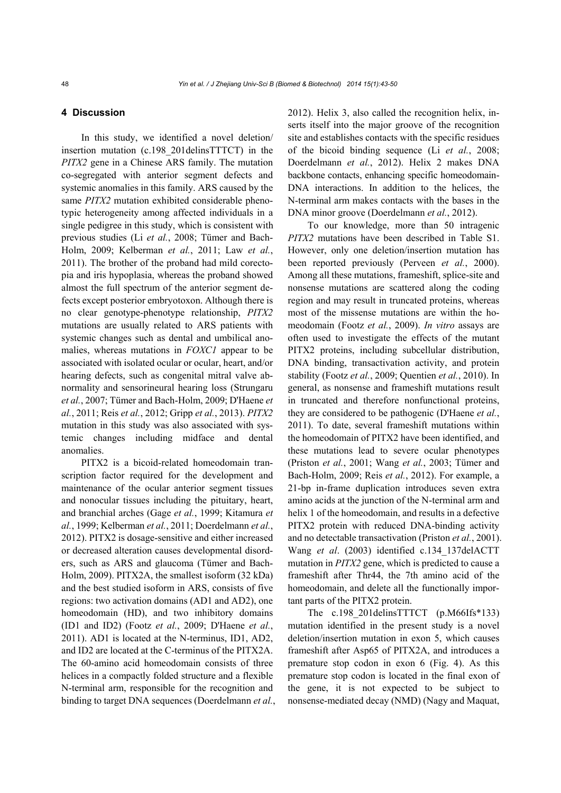## **4 Discussion**

In this study, we identified a novel deletion/ insertion mutation (c.198\_201delinsTTTCT) in the *PITX2* gene in a Chinese ARS family. The mutation co-segregated with anterior segment defects and systemic anomalies in this family. ARS caused by the same *PITX2* mutation exhibited considerable phenotypic heterogeneity among affected individuals in a single pedigree in this study, which is consistent with previous studies (Li *et al.*, 2008; Tümer and Bach-Holm, 2009; Kelberman *et al.*, 2011; Law *et al.*, 2011). The brother of the proband had mild corectopia and iris hypoplasia, whereas the proband showed almost the full spectrum of the anterior segment defects except posterior embryotoxon. Although there is no clear genotype-phenotype relationship, *PITX2* mutations are usually related to ARS patients with systemic changes such as dental and umbilical anomalies, whereas mutations in *FOXC1* appear to be associated with isolated ocular or ocular, heart, and/or hearing defects, such as congenital mitral valve abnormality and sensorineural hearing loss (Strungaru *et al.*, 2007; Tümer and Bach-Holm, 2009; D'Haene *et al.*, 2011; Reis *et al.*, 2012; Gripp *et al.*, 2013). *PITX2*  mutation in this study was also associated with systemic changes including midface and dental anomalies.

PITX2 is a bicoid-related homeodomain transcription factor required for the development and maintenance of the ocular anterior segment tissues and nonocular tissues including the pituitary, heart, and branchial arches (Gage *et al.*, 1999; Kitamura *et al.*, 1999; Kelberman *et al.*, 2011; Doerdelmann *et al.*, 2012). PITX2 is dosage-sensitive and either increased or decreased alteration causes developmental disorders, such as ARS and glaucoma (Tümer and Bach-Holm, 2009). PITX2A, the smallest isoform (32 kDa) and the best studied isoform in ARS, consists of five regions: two activation domains (AD1 and AD2), one homeodomain (HD), and two inhibitory domains (ID1 and ID2) (Footz *et al.*, 2009; D'Haene *et al.*, 2011). AD1 is located at the N-terminus, ID1, AD2, and ID2 are located at the C-terminus of the PITX2A. The 60-amino acid homeodomain consists of three helices in a compactly folded structure and a flexible N-terminal arm, responsible for the recognition and binding to target DNA sequences (Doerdelmann *et al.*, 2012). Helix 3, also called the recognition helix, inserts itself into the major groove of the recognition site and establishes contacts with the specific residues of the bicoid binding sequence (Li *et al.*, 2008; Doerdelmann *et al.*, 2012). Helix 2 makes DNA backbone contacts, enhancing specific homeodomain-DNA interactions. In addition to the helices, the N-terminal arm makes contacts with the bases in the DNA minor groove (Doerdelmann *et al.*, 2012).

To our knowledge, more than 50 intragenic *PITX2* mutations have been described in Table S1. However, only one deletion/insertion mutation has been reported previously (Perveen *et al.*, 2000). Among all these mutations, frameshift, splice-site and nonsense mutations are scattered along the coding region and may result in truncated proteins, whereas most of the missense mutations are within the homeodomain (Footz *et al.*, 2009). *In vitro* assays are often used to investigate the effects of the mutant PITX2 proteins, including subcellular distribution, DNA binding, transactivation activity, and protein stability (Footz *et al.*, 2009; Quentien *et al.*, 2010). In general, as nonsense and frameshift mutations result in truncated and therefore nonfunctional proteins, they are considered to be pathogenic (D'Haene *et al.*, 2011). To date, several frameshift mutations within the homeodomain of PITX2 have been identified, and these mutations lead to severe ocular phenotypes (Priston *et al.*, 2001; Wang *et al.*, 2003; Tümer and Bach-Holm, 2009; Reis *et al.*, 2012). For example, a 21-bp in-frame duplication introduces seven extra amino acids at the junction of the N-terminal arm and helix 1 of the homeodomain, and results in a defective PITX2 protein with reduced DNA-binding activity and no detectable transactivation (Priston *et al.*, 2001). Wang *et al*. (2003) identified c.134\_137delACTT mutation in *PITX2* gene, which is predicted to cause a frameshift after Thr44, the 7th amino acid of the homeodomain, and delete all the functionally important parts of the PITX2 protein.

The c.198 201delinsTTTCT (p.M66Ifs\*133) mutation identified in the present study is a novel deletion/insertion mutation in exon 5, which causes frameshift after Asp65 of PITX2A, and introduces a premature stop codon in exon 6 (Fig. 4). As this premature stop codon is located in the final exon of the gene, it is not expected to be subject to nonsense-mediated decay (NMD) (Nagy and Maquat,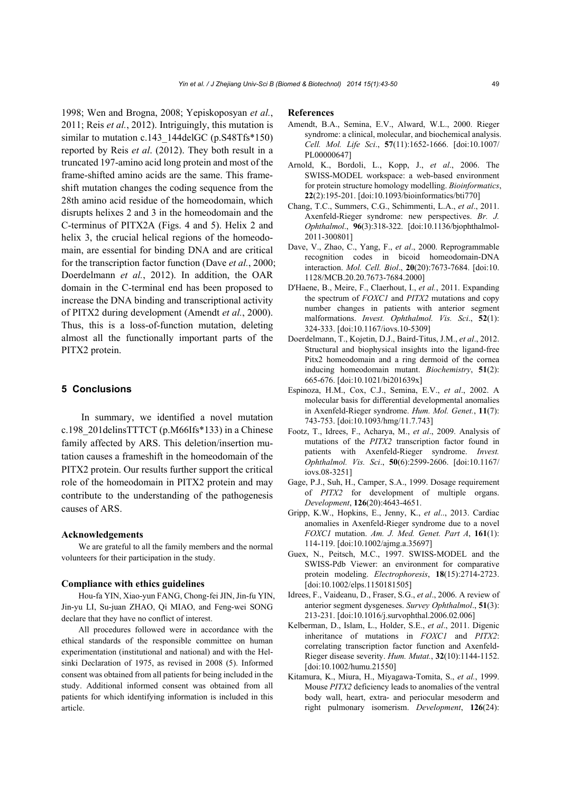1998; Wen and Brogna, 2008; Yepiskoposyan *et al.*, 2011; Reis *et al.*, 2012). Intriguingly, this mutation is similar to mutation c.143\_144delGC (p.S48Tfs\*150) reported by Reis *et al*. (2012). They both result in a truncated 197-amino acid long protein and most of the frame-shifted amino acids are the same. This frameshift mutation changes the coding sequence from the 28th amino acid residue of the homeodomain, which disrupts helixes 2 and 3 in the homeodomain and the C-terminus of PITX2A (Figs. 4 and 5). Helix 2 and helix 3, the crucial helical regions of the homeodomain, are essential for binding DNA and are critical for the transcription factor function (Dave *et al.*, 2000; Doerdelmann *et al.*, 2012). In addition, the OAR domain in the C-terminal end has been proposed to increase the DNA binding and transcriptional activity of PITX2 during development (Amendt *et al.*, 2000). Thus, this is a loss-of-function mutation, deleting almost all the functionally important parts of the PITX2 protein.

## **5 Conclusions**

In summary, we identified a novel mutation c.198\_201delinsTTTCT (p.M66Ifs\*133) in a Chinese family affected by ARS. This deletion/insertion mutation causes a frameshift in the homeodomain of the PITX2 protein. Our results further support the critical role of the homeodomain in PITX2 protein and may contribute to the understanding of the pathogenesis causes of ARS.

#### **Acknowledgements**

We are grateful to all the family members and the normal volunteers for their participation in the study.

#### **Compliance with ethics guidelines**

Hou-fa YIN, Xiao-yun FANG, Chong-fei JIN, Jin-fu YIN, Jin-yu LI, Su-juan ZHAO, Qi MIAO, and Feng-wei SONG declare that they have no conflict of interest.

All procedures followed were in accordance with the ethical standards of the responsible committee on human experimentation (institutional and national) and with the Helsinki Declaration of 1975, as revised in 2008 (5). Informed consent was obtained from all patients for being included in the study. Additional informed consent was obtained from all patients for which identifying information is included in this article.

#### **References**

- Amendt, B.A., Semina, E.V., Alward, W.L., 2000. Rieger syndrome: a clinical, molecular, and biochemical analysis. *Cell. Mol. Life Sci*., **57**(11):1652-1666. [doi:10.1007/ PL00000647]
- Arnold, K., Bordoli, L., Kopp, J., *et al*., 2006. The SWISS-MODEL workspace: a web-based environment for protein structure homology modelling. *Bioinformatics*, **22**(2):195-201. [doi:10.1093/bioinformatics/bti770]
- Chang, T.C., Summers, C.G., Schimmenti, L.A., *et al*., 2011. Axenfeld-Rieger syndrome: new perspectives. *Br. J. Ophthalmol*., **96**(3):318-322. [doi:10.1136/bjophthalmol-2011-300801]
- Dave, V., Zhao, C., Yang, F., *et al*., 2000. Reprogrammable recognition codes in bicoid homeodomain-DNA interaction. *Mol. Cell. Biol*., **20**(20):7673-7684. [doi:10. 1128/MCB.20.20.7673-7684.2000]
- D'Haene, B., Meire, F., Claerhout, I., *et al.*, 2011. Expanding the spectrum of *FOXC1* and *PITX2* mutations and copy number changes in patients with anterior segment malformations. *Invest. Ophthalmol. Vis. Sci*., **52**(1): 324-333. [doi:10.1167/iovs.10-5309]
- Doerdelmann, T., Kojetin, D.J., Baird-Titus, J.M., *et al*., 2012. Structural and biophysical insights into the ligand-free Pitx2 homeodomain and a ring dermoid of the cornea inducing homeodomain mutant. *Biochemistry*, **51**(2): 665-676. [doi:10.1021/bi201639x]
- Espinoza, H.M., Cox, C.J., Semina, E.V., *et al*., 2002. A molecular basis for differential developmental anomalies in Axenfeld-Rieger syndrome. *Hum. Mol. Genet.*, **11**(7): 743-753. [doi:10.1093/hmg/11.7.743]
- Footz, T., Idrees, F., Acharya, M., *et al*., 2009. Analysis of mutations of the *PITX2* transcription factor found in patients with Axenfeld-Rieger syndrome. *Invest. Ophthalmol. Vis. Sci*., **50**(6):2599-2606. [doi:10.1167/ iovs.08-3251]
- Gage, P.J., Suh, H., Camper, S.A., 1999. Dosage requirement of *PITX2* for development of multiple organs. *Development*, **126**(20):4643-4651.
- Gripp, K.W., Hopkins, E., Jenny, K., *et al*.., 2013. Cardiac anomalies in Axenfeld-Rieger syndrome due to a novel *FOXC1* mutation. *Am. J. Med. Genet. Part A*, **161**(1): 114-119. [doi:10.1002/ajmg.a.35697]
- Guex, N., Peitsch, M.C., 1997. SWISS-MODEL and the SWISS-Pdb Viewer: an environment for comparative protein modeling. *Electrophoresis*, **18**(15):2714-2723. [doi:10.1002/elps.1150181505]
- Idrees, F., Vaideanu, D., Fraser, S.G., *et al*., 2006. A review of anterior segment dysgeneses. *Survey Ophthalmol*., **51**(3): 213-231. [doi:10.1016/j.survophthal.2006.02.006]
- Kelberman, D., Islam, L., Holder, S.E., *et al*., 2011. Digenic inheritance of mutations in *FOXC1* and *PITX2*: correlating transcription factor function and Axenfeld-Rieger disease severity. *Hum. Mutat.*, **32**(10):1144-1152. [doi:10.1002/humu.21550]
- Kitamura, K., Miura, H., Miyagawa-Tomita, S., *et al.*, 1999. Mouse *PITX2* deficiency leads to anomalies of the ventral body wall, heart, extra- and periocular mesoderm and right pulmonary isomerism. *Development*, **126**(24):